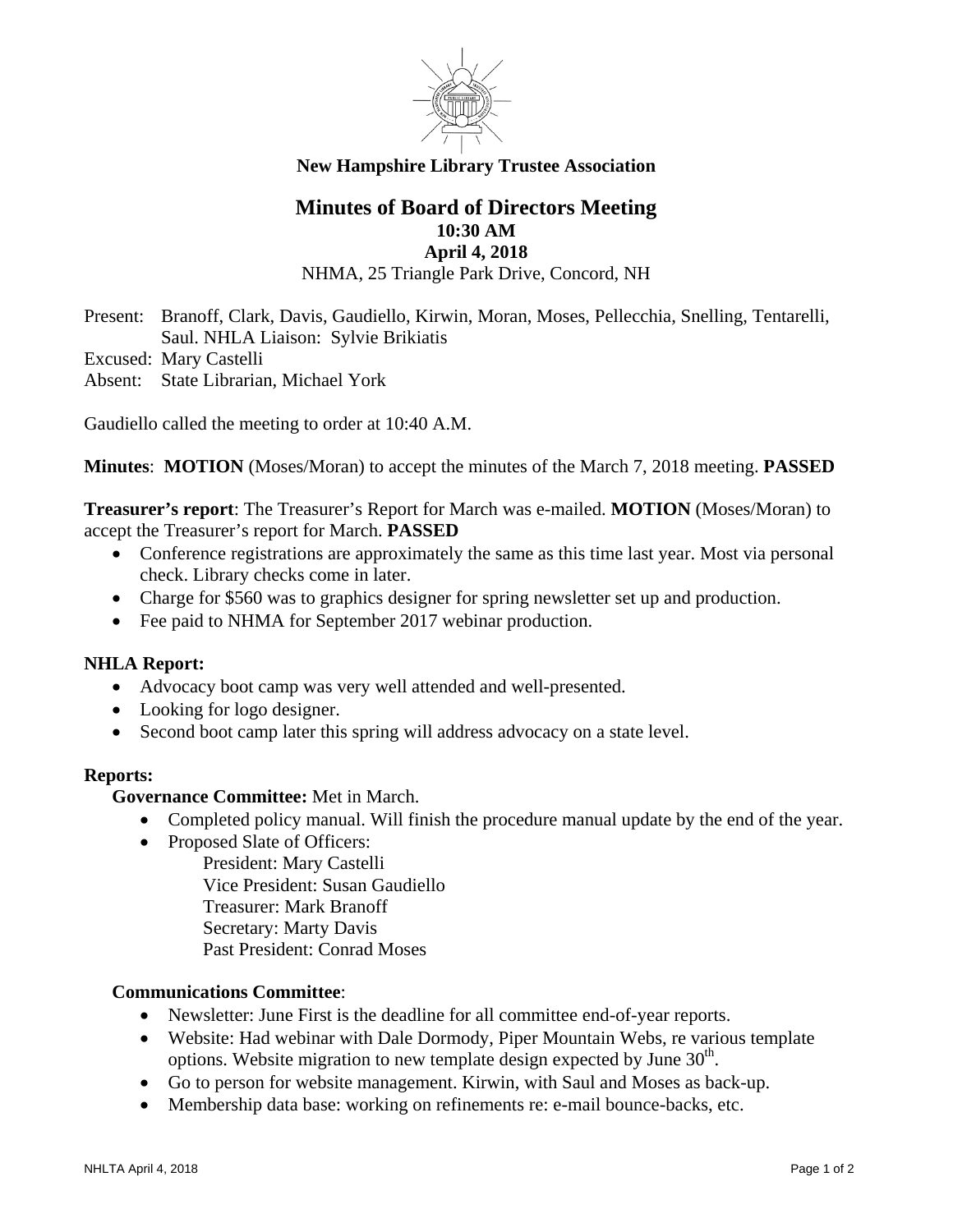

## **New Hampshire Library Trustee Association**

# **Minutes of Board of Directors Meeting 10:30 AM April 4, 2018**

NHMA, 25 Triangle Park Drive, Concord, NH

Present: Branoff, Clark, Davis, Gaudiello, Kirwin, Moran, Moses, Pellecchia, Snelling, Tentarelli, Saul. NHLA Liaison: Sylvie Brikiatis

Excused: Mary Castelli

Absent: State Librarian, Michael York

Gaudiello called the meeting to order at 10:40 A.M.

**Minutes**: **MOTION** (Moses/Moran) to accept the minutes of the March 7, 2018 meeting. **PASSED**

**Treasurer's report**: The Treasurer's Report for March was e-mailed. **MOTION** (Moses/Moran) to accept the Treasurer's report for March. **PASSED**

- Conference registrations are approximately the same as this time last year. Most via personal check. Library checks come in later.
- Charge for \$560 was to graphics designer for spring newsletter set up and production.
- Fee paid to NHMA for September 2017 webinar production.

## **NHLA Report:**

- Advocacy boot camp was very well attended and well-presented.
- Looking for logo designer.
- Second boot camp later this spring will address advocacy on a state level.

#### **Reports:**

**Governance Committee:** Met in March.

- Completed policy manual. Will finish the procedure manual update by the end of the year.
- Proposed Slate of Officers:

President: Mary Castelli Vice President: Susan Gaudiello Treasurer: Mark Branoff Secretary: Marty Davis Past President: Conrad Moses

## **Communications Committee**:

- Newsletter: June First is the deadline for all committee end-of-year reports.
- Website: Had webinar with Dale Dormody, Piper Mountain Webs, re various template options. Website migration to new template design expected by June  $30<sup>th</sup>$ .
- Go to person for website management. Kirwin, with Saul and Moses as back-up.
- Membership data base: working on refinements re: e-mail bounce-backs, etc.